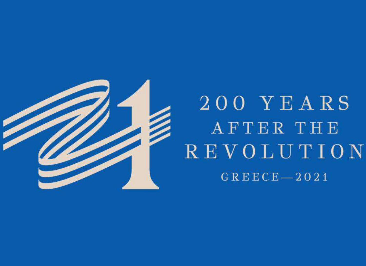

# $200$   $YERS$ AFTER THE REVOLUTION  $GREECE-2021$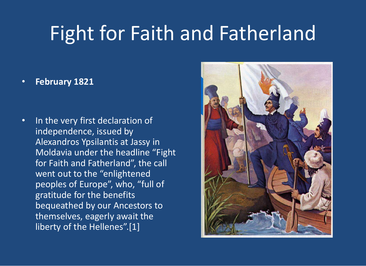# Fight for Faith and Fatherland

### • **February 1821**

• In the very first declaration of independence, issued by Alexandros Ypsilantis at Jassy in Moldavia under the headline "Fight for Faith and Fatherland", the call went out to the "enlightened peoples of Europe", who, "full of gratitude for the benefits bequeathed by our Ancestors to themselves, eagerly await the liberty of the Hellenes".[1]

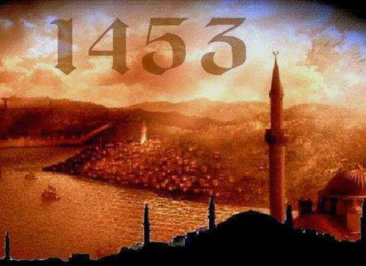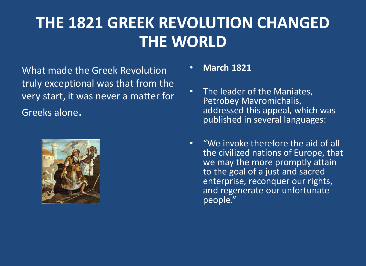### **THE 1821 GREEK REVOLUTION CHANGED THE WORLD**

What made the Greek Revolution truly exceptional was that from the very start, it was never a matter for Greeks alone.



• **March 1821**

- The leader of the Maniates, Petrobey Mavromichalis, addressed this appeal, which was published in several languages:
- "We invoke therefore the aid of all the civilized nations of Europe, that we may the more promptly attain to the goal of a just and sacred enterprise, reconquer our rights, and regenerate our unfortunate people."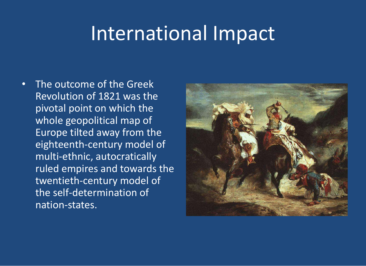# International Impact

• The outcome of the Greek Revolution of 1821 was the pivotal point on which the whole geopolitical map of Europe tilted away from the eighteenth-century model of multi-ethnic, autocratically ruled empires and towards the twentieth-century model of the self-determination of nation-states.

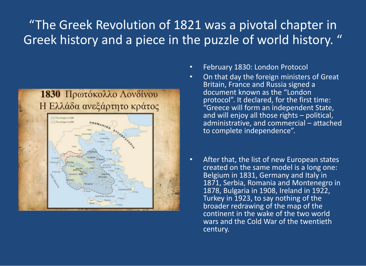### "The Greek Revolution of 1821 was a pivotal chapter in Greek history and a piece in the puzzle of world history. "



- February 1830: London Protocol
- On that day the foreign ministers of Great Britain, France and Russia signed a document known as the "London protocol". It declared, for the first time: "Greece will form an independent State, and will enjoy all those rights – political, administrative, and commercial – attached to complete independence".
- After that, the list of new European states created on the same model is a long one: Belgium in 1831, Germany and Italy in 1871, Serbia, Romania and Montenegro in 1878, Bulgaria in 1908, Ireland in 1922, Turkey in 1923, to say nothing of the broader redrawing of the map of the continent in the wake of the two world wars and the Cold War of the twentieth century.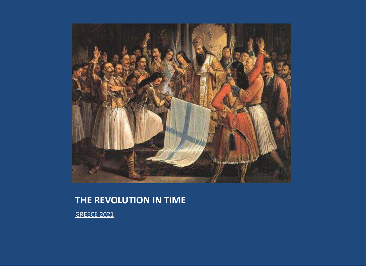

### **THE REVOLUTION IN TIME**

[GREECE 2021](https://www.greece2021.gr/en/)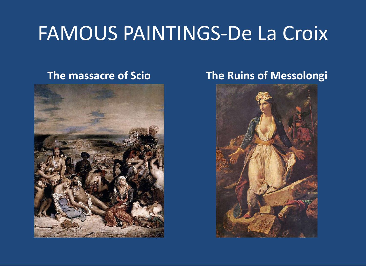# FAMOUS PAINTINGS-De La Croix



### **The massacre of Scio The Ruins of Messolongi**

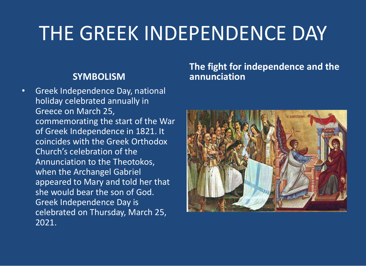# THE GREEK INDEPENDENCE DAY

### **SYMBOLISM**

• Greek Independence Day, national holiday celebrated annually in Greece on March 25, commemorating the start of the War of Greek Independence in 1821. It coincides with the Greek Orthodox Church's celebration of the Annunciation to the Theotokos, when the Archangel Gabriel appeared to Mary and told her that she would bear the son of God. Greek Independence Day is celebrated on Thursday, March 25, 2021.

### **The fight for independence and the annunciation**

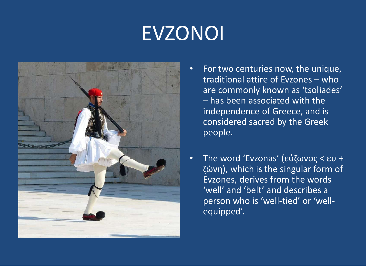# EVZONOI



- For two centuries now, the unique, traditional attire of Evzones – who are commonly known as 'tsoliades' – has been associated with the independence of Greece, and is considered sacred by the Greek people.
- The word 'Evzonas' (εύζωνος < ευ + ζώνη), which is the singular form of Evzones, derives from the words 'well' and 'belt' and describes a person who is 'well-tied' or 'wellequipped'.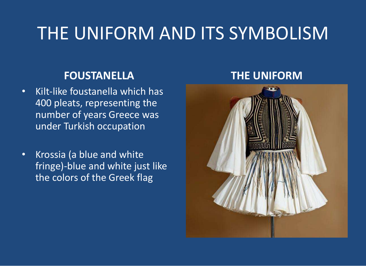### THE UNIFORM AND ITS SYMBOLISM

### **FOUSTANELLA**

- Kilt-like foustanella which has 400 pleats, representing the number of years Greece was under Turkish occupation
- Krossia (a blue and white fringe)-blue and white just like the colors of the Greek flag

### **THE UNIFORM**

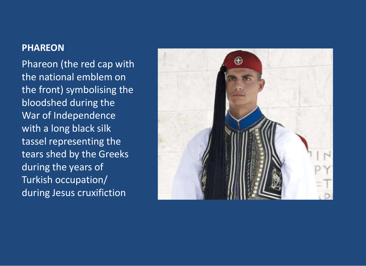### **PHAREON**

Phareon (the red cap with the national emblem on the front) symbolising the bloodshed during the War of Independence with a long black silk tassel representing the tears shed by the Greeks during the years of Turkish occupation/ during Jesus cruxifiction

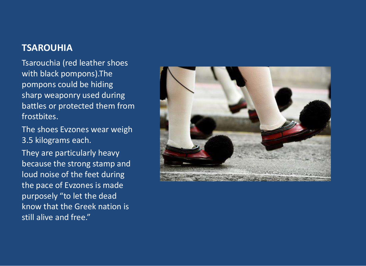### **TSAROUHIA**

Tsarouchia (red leather shoes with black pompons).The pompons could be hiding sharp weaponry used during battles or protected them from frostbites.

The shoes Evzones wear weigh 3.5 kilograms each.

They are particularly heavy because the strong stamp and loud noise of the feet during the pace of Evzones is made purposely "to let the dead know that the Greek nation is still alive and free."

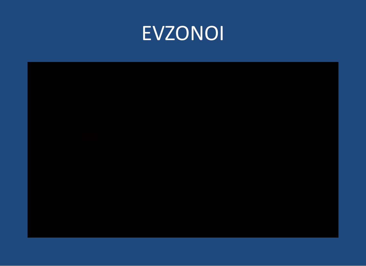

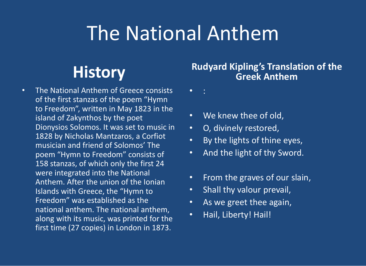# The National Anthem

### **History**

• The National Anthem of Greece consists of the first stanzas of the poem "Hymn to Freedom", written in May 1823 in the island of Zakynthos by the poet Dionysios Solomos. It was set to music in 1828 by Nicholas Mantzaros, a Corfiot musician and friend of Solomos' The poem "Hymn to Freedom" consists of 158 stanzas, of which only the first 24 were integrated into the National Anthem. After the union of the Ionian Islands with Greece, the "Hymn to Freedom" was established as the national anthem. The national anthem, along with its music, was printed for the first time (27 copies) in London in 1873.

### **Rudyard Kipling's Translation of the Greek Anthem**

• :

- We knew thee of old,
- O, divinely restored,
- By the lights of thine eyes,
- And the light of thy Sword.
- From the graves of our slain,
- Shall thy valour prevail,
- As we greet thee again,
- Hail, Liberty! Hail!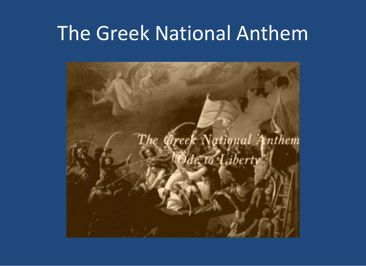## The Greek National Anthem

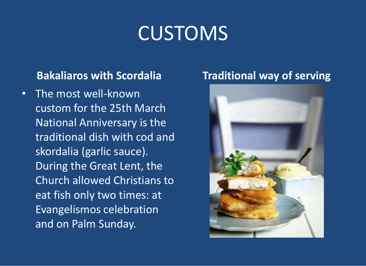# CUSTOMS

### **Bakaliaros with Scordalia**

• The most well-known custom for the 25th March National Anniversary is the traditional dish with cod and skordalia (garlic sauce). During the Great Lent, the Church allowed Christians to eat fish only two times: at Evangelismos celebration and on Palm Sunday.

### **Traditional way of serving**